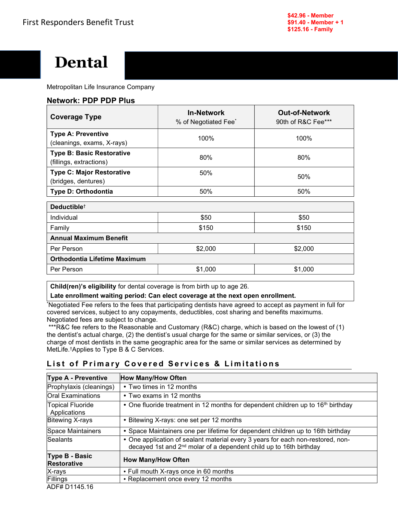

Metropolitan Life Insurance Company

## Network: PDP PDP Plus

| <b>Coverage Type</b>                                        | <b>In-Network</b><br>% of Negotiated Fee <sup>*</sup> | <b>Out-of-Network</b><br>90th of R&C Fee*** |
|-------------------------------------------------------------|-------------------------------------------------------|---------------------------------------------|
| <b>Type A: Preventive</b><br>(cleanings, exams, X-rays)     | 100%                                                  | 100%                                        |
| <b>Type B: Basic Restorative</b><br>(fillings, extractions) | 80%                                                   | 80%                                         |
| <b>Type C: Major Restorative</b><br>(bridges, dentures)     | 50%                                                   | 50%                                         |
| Type D: Orthodontia                                         | 50%                                                   | 50%                                         |
| Deductible <sup>+</sup>                                     |                                                       |                                             |
| Individual                                                  | \$50                                                  | \$50                                        |
| Family                                                      | \$150                                                 | \$150                                       |
| <b>Annual Maximum Benefit</b>                               |                                                       |                                             |
| Per Person                                                  | \$2,000                                               | \$2,000                                     |
| Orthodontia Lifetime Maximum                                |                                                       |                                             |
| Per Person                                                  | \$1,000                                               | \$1,000                                     |

Child(ren)'s eligibility for dental coverage is from birth up to age 26.

Late enrollment waiting period: Can elect coverage at the next open enrollment.

\*Negotiated Fee refers to the fees that participating dentists have agreed to accept as payment in full for covered services, subject to any copayments, deductibles, cost sharing and benefits maximums. Negotiated fees are subject to change.

 \*\*\*R&C fee refers to the Reasonable and Customary (R&C) charge, which is based on the lowest of (1) the dentist's actual charge, (2) the dentist's usual charge for the same or similar services, or (3) the charge of most dentists in the same geographic area for the same or similar services as determined by MetLife.†Applies to Type B & C Services.

# List of Primary Covered Services & Limitations

| <b>How Many/How Often</b>                                                                                                                                         |
|-------------------------------------------------------------------------------------------------------------------------------------------------------------------|
| • Two times in 12 months                                                                                                                                          |
| • Two exams in 12 months                                                                                                                                          |
| • One fluoride treatment in 12 months for dependent children up to 16 <sup>th</sup> birthday                                                                      |
| • Bitewing X-rays: one set per 12 months                                                                                                                          |
| • Space Maintainers one per lifetime for dependent children up to 16th birthday                                                                                   |
| • One application of sealant material every 3 years for each non-restored, non-<br>decayed 1st and 2 <sup>nd</sup> molar of a dependent child up to 16th birthday |
| <b>How Many/How Often</b>                                                                                                                                         |
| • Full mouth X-rays once in 60 months                                                                                                                             |
| • Replacement once every 12 months                                                                                                                                |
|                                                                                                                                                                   |

ADF# D1145.16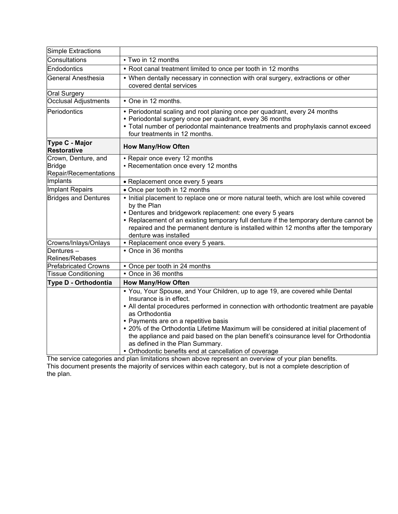| Simple Extractions                                     |                                                                                                                                                                                                                                                                                                                                                                                                                                                                                                                                           |
|--------------------------------------------------------|-------------------------------------------------------------------------------------------------------------------------------------------------------------------------------------------------------------------------------------------------------------------------------------------------------------------------------------------------------------------------------------------------------------------------------------------------------------------------------------------------------------------------------------------|
| Consultations                                          | • Two in 12 months                                                                                                                                                                                                                                                                                                                                                                                                                                                                                                                        |
| Endodontics                                            | • Root canal treatment limited to once per tooth in 12 months                                                                                                                                                                                                                                                                                                                                                                                                                                                                             |
| General Anesthesia                                     | • When dentally necessary in connection with oral surgery, extractions or other<br>covered dental services                                                                                                                                                                                                                                                                                                                                                                                                                                |
| Oral Surgery                                           |                                                                                                                                                                                                                                                                                                                                                                                                                                                                                                                                           |
| Occlusal Adjustments                                   | • One in 12 months.                                                                                                                                                                                                                                                                                                                                                                                                                                                                                                                       |
| Periodontics                                           | • Periodontal scaling and root planing once per quadrant, every 24 months<br>• Periodontal surgery once per quadrant, every 36 months<br>• Total number of periodontal maintenance treatments and prophylaxis cannot exceed<br>four treatments in 12 months.                                                                                                                                                                                                                                                                              |
| Type C - Major<br>Restorative                          | <b>How Many/How Often</b>                                                                                                                                                                                                                                                                                                                                                                                                                                                                                                                 |
| Crown, Denture, and<br>Bridge<br>Repair/Recementations | • Repair once every 12 months<br>• Recementation once every 12 months                                                                                                                                                                                                                                                                                                                                                                                                                                                                     |
| Implants                                               | • Replacement once every 5 years                                                                                                                                                                                                                                                                                                                                                                                                                                                                                                          |
| Implant Repairs                                        | • Once per tooth in 12 months                                                                                                                                                                                                                                                                                                                                                                                                                                                                                                             |
| <b>Bridges and Dentures</b>                            | • Initial placement to replace one or more natural teeth, which are lost while covered<br>by the Plan<br>• Dentures and bridgework replacement: one every 5 years<br>• Replacement of an existing temporary full denture if the temporary denture cannot be<br>repaired and the permanent denture is installed within 12 months after the temporary<br>denture was installed                                                                                                                                                              |
| Crowns/Inlays/Onlays                                   | • Replacement once every 5 years.                                                                                                                                                                                                                                                                                                                                                                                                                                                                                                         |
| Dentures-<br>Relines/Rebases                           | • Once in 36 months                                                                                                                                                                                                                                                                                                                                                                                                                                                                                                                       |
| <b>Prefabricated Crowns</b>                            | • Once per tooth in 24 months                                                                                                                                                                                                                                                                                                                                                                                                                                                                                                             |
| <b>Tissue Conditioning</b>                             | • Once in 36 months                                                                                                                                                                                                                                                                                                                                                                                                                                                                                                                       |
| Type D - Orthodontia                                   | <b>How Many/How Often</b>                                                                                                                                                                                                                                                                                                                                                                                                                                                                                                                 |
|                                                        | . You, Your Spouse, and Your Children, up to age 19, are covered while Dental<br>Insurance is in effect.<br>• All dental procedures performed in connection with orthodontic treatment are payable<br>as Orthodontia<br>• Payments are on a repetitive basis<br>• 20% of the Orthodontia Lifetime Maximum will be considered at initial placement of<br>the appliance and paid based on the plan benefit's coinsurance level for Orthodontia<br>as defined in the Plan Summary.<br>• Orthodontic benefits end at cancellation of coverage |

The service categories and plan limitations shown above represent an overview of your plan benefits. This document presents the majority of services within each category, but is not a complete description of the plan.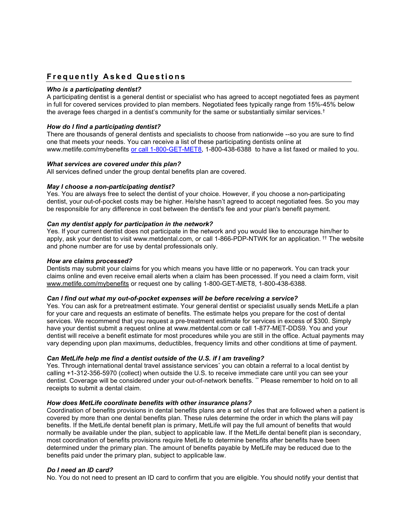# **Frequently Asked Questions**

#### Who is a participating dentist?

A participating dentist is a general dentist or specialist who has agreed to accept negotiated fees as payment in full for covered services provided to plan members. Negotiated fees typically range from 15%-45% below the average fees charged in a dentist's community for the same or substantially similar services. $^{\dagger}$ 

### How do I find a participating dentist?

There are thousands of general dentists and specialists to choose from nationwide --so you are sure to find one that meets your needs. You can receive a list of these participating dentists online at www.metlife.com/mybenefits or call 1-800-GET-MET8, 1-800-438-6388 to have a list faxed or mailed to you.

#### What services are covered under this plan?

All services defined under the group dental benefits plan are covered.

### May I choose a non-participating dentist?

Yes. You are always free to select the dentist of your choice. However, if you choose a non-participating dentist, your out-of-pocket costs may be higher. He/she hasn't agreed to accept negotiated fees. So you may be responsible for any difference in cost between the dentist's fee and your plan's benefit payment.

### Can my dentist apply for participation in the network?

Yes. If your current dentist does not participate in the network and you would like to encourage him/her to apply, ask your dentist to visit www.metdental.com, or call 1-866-PDP-NTWK for an application. †† The website and phone number are for use by dental professionals only.

#### How are claims processed?

Dentists may submit your claims for you which means you have little or no paperwork. You can track your claims online and even receive email alerts when a claim has been processed. If you need a claim form, visit www.metlife.com/mybenefits or request one by calling 1-800-GET-MET8, 1-800-438-6388.

#### Can I find out what my out-of-pocket expenses will be before receiving a service?

Yes. You can ask for a pretreatment estimate. Your general dentist or specialist usually sends MetLife a plan for your care and requests an estimate of benefits. The estimate helps you prepare for the cost of dental services. We recommend that you request a pre-treatment estimate for services in excess of \$300. Simply have your dentist submit a request online at www.metdental.com or call 1-877-MET-DDS9. You and your dentist will receive a benefit estimate for most procedures while you are still in the office. Actual payments may vary depending upon plan maximums, deductibles, frequency limits and other conditions at time of payment.

#### Can MetLife help me find a dentist outside of the U.S. if I am traveling?

Yes. Through international dental travel assistance services $^{\ast}$  you can obtain a referral to a local dentist by calling +1-312-356-5970 (collect) when outside the U.S. to receive immediate care until you can see your dentist. Coverage will be considered under your out-of-network benefits. \*\* Please remember to hold on to all receipts to submit a dental claim.

### How does MetLife coordinate benefits with other insurance plans?

Coordination of benefits provisions in dental benefits plans are a set of rules that are followed when a patient is covered by more than one dental benefits plan. These rules determine the order in which the plans will pay benefits. If the MetLife dental benefit plan is primary, MetLife will pay the full amount of benefits that would normally be available under the plan, subject to applicable law. If the MetLife dental benefit plan is secondary, most coordination of benefits provisions require MetLife to determine benefits after benefits have been determined under the primary plan. The amount of benefits payable by MetLife may be reduced due to the benefits paid under the primary plan, subject to applicable law.

#### Do I need an ID card?

No. You do not need to present an ID card to confirm that you are eligible. You should notify your dentist that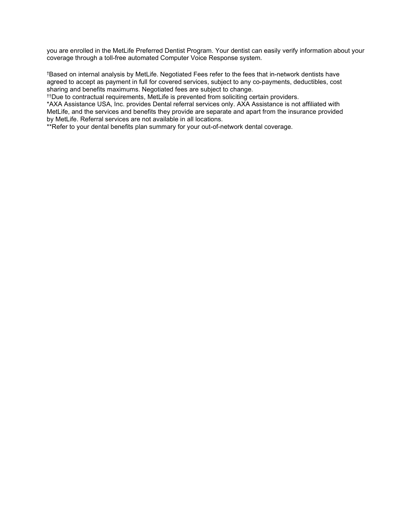you are enrolled in the MetLife Preferred Dentist Program. Your dentist can easily verify information about your coverage through a toll-free automated Computer Voice Response system.

†Based on internal analysis by MetLife. Negotiated Fees refer to the fees that in-network dentists have agreed to accept as payment in full for covered services, subject to any co-payments, deductibles, cost sharing and benefits maximums. Negotiated fees are subject to change.

††Due to contractual requirements, MetLife is prevented from soliciting certain providers.

\*AXA Assistance USA, Inc. provides Dental referral services only. AXA Assistance is not affiliated with MetLife, and the services and benefits they provide are separate and apart from the insurance provided by MetLife. Referral services are not available in all locations.

\*\*Refer to your dental benefits plan summary for your out-of-network dental coverage.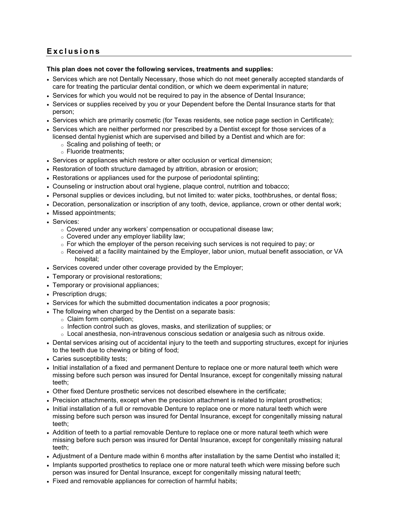# **Exclusions**

#### This plan does not cover the following services, treatments and supplies:

- Services which are not Dentally Necessary, those which do not meet generally accepted standards of care for treating the particular dental condition, or which we deem experimental in nature;
- Services for which you would not be required to pay in the absence of Dental Insurance;
- Services or supplies received by you or your Dependent before the Dental Insurance starts for that person;
- Services which are primarily cosmetic (for Texas residents, see notice page section in Certificate);
- Services which are neither performed nor prescribed by a Dentist except for those services of a licensed dental hygienist which are supervised and billed by a Dentist and which are for:
	- o Scaling and polishing of teeth; or
	- o Fluoride treatments;
- Services or appliances which restore or alter occlusion or vertical dimension;
- Restoration of tooth structure damaged by attrition, abrasion or erosion;
- Restorations or appliances used for the purpose of periodontal splinting;
- Counseling or instruction about oral hygiene, plaque control, nutrition and tobacco;
- Personal supplies or devices including, but not limited to: water picks, toothbrushes, or dental floss;
- Decoration, personalization or inscription of any tooth, device, appliance, crown or other dental work;
- Missed appointments;
- Services:
	- o Covered under any workers' compensation or occupational disease law;
	- $\circ$  Covered under any employer liability law;
	- $\circ$  For which the employer of the person receiving such services is not required to pay; or
	- o Received at a facility maintained by the Employer, labor union, mutual benefit association, or VA hospital;
- Services covered under other coverage provided by the Employer;
- Temporary or provisional restorations;
- Temporary or provisional appliances;
- Prescription drugs;
- Services for which the submitted documentation indicates a poor prognosis;
- The following when charged by the Dentist on a separate basis:
	- o Claim form completion;
	- o Infection control such as gloves, masks, and sterilization of supplies; or
	- $\circ$  Local anesthesia, non-intravenous conscious sedation or analgesia such as nitrous oxide.
- Dental services arising out of accidental injury to the teeth and supporting structures, except for injuries to the teeth due to chewing or biting of food;
- Caries susceptibility tests;
- Initial installation of a fixed and permanent Denture to replace one or more natural teeth which were missing before such person was insured for Dental Insurance, except for congenitally missing natural teeth;
- Other fixed Denture prosthetic services not described elsewhere in the certificate;
- Precision attachments, except when the precision attachment is related to implant prosthetics;
- Initial installation of a full or removable Denture to replace one or more natural teeth which were missing before such person was insured for Dental Insurance, except for congenitally missing natural teeth;
- Addition of teeth to a partial removable Denture to replace one or more natural teeth which were missing before such person was insured for Dental Insurance, except for congenitally missing natural teeth;
- Adjustment of a Denture made within 6 months after installation by the same Dentist who installed it;
- Implants supported prosthetics to replace one or more natural teeth which were missing before such person was insured for Dental Insurance, except for congenitally missing natural teeth;
- Fixed and removable appliances for correction of harmful habits;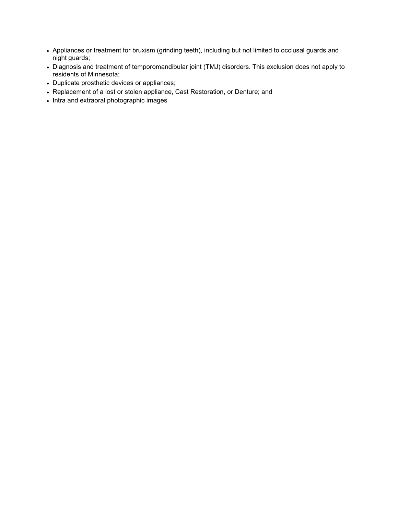- Appliances or treatment for bruxism (grinding teeth), including but not limited to occlusal guards and night guards;
- Diagnosis and treatment of temporomandibular joint (TMJ) disorders. This exclusion does not apply to residents of Minnesota;
- Duplicate prosthetic devices or appliances;
- Replacement of a lost or stolen appliance, Cast Restoration, or Denture; and
- Intra and extraoral photographic images